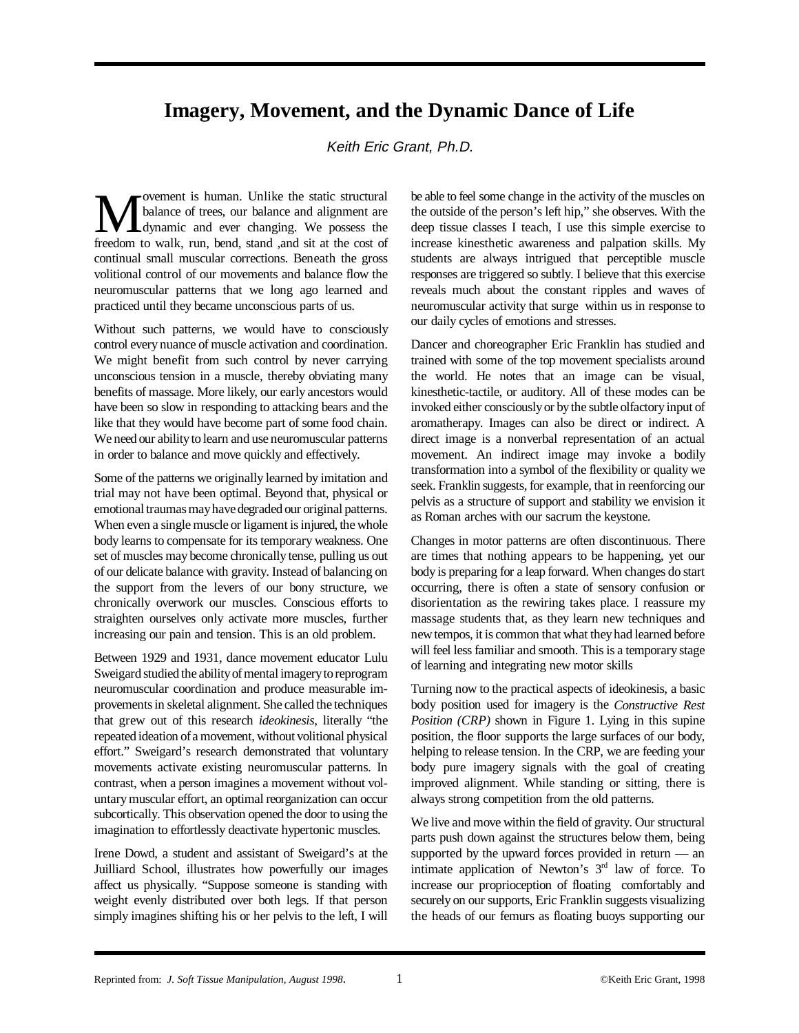## **Imagery, Movement, and the Dynamic Dance of Life**

## Keith Eric Grant, Ph.D.

**M** balance of trees, our balance and alignment are<br>dynamic and ever changing. We possess the<br>freedom to walk, run bend stand, and sit at the cost of balance of trees, our balance and alignment are dynamic and ever changing. We possess the freedom to walk, run, bend, stand ,and sit at the cost of continual small muscular corrections. Beneath the gross volitional control of our movements and balance flow the neuromuscular patterns that we long ago learned and practiced until they became unconscious parts of us.

Without such patterns, we would have to consciously control every nuance of muscle activation and coordination. We might benefit from such control by never carrying unconscious tension in a muscle, thereby obviating many benefits of massage. More likely, our early ancestors would have been so slow in responding to attacking bears and the like that they would have become part of some food chain. We need our ability to learn and use neuromuscular patterns in order to balance and move quickly and effectively.

Some of the patterns we originally learned by imitation and trial may not have been optimal. Beyond that, physical or emotional traumas may have degraded our original patterns. When even a single muscle or ligament is injured, the whole body learns to compensate for its temporary weakness. One set of muscles may become chronically tense, pulling us out of our delicate balance with gravity. Instead of balancing on the support from the levers of our bony structure, we chronically overwork our muscles. Conscious efforts to straighten ourselves only activate more muscles, further increasing our pain and tension. This is an old problem.

Between 1929 and 1931, dance movement educator Lulu Sweigard studied the ability of mental imagery to reprogram neuromuscular coordination and produce measurable improvements in skeletal alignment. She called the techniques that grew out of this research *ideokinesis*, literally "the repeated ideation of a movement, without volitional physical effort." Sweigard's research demonstrated that voluntary movements activate existing neuromuscular patterns. In contrast, when a person imagines a movement without voluntary muscular effort, an optimal reorganization can occur subcortically. This observation opened the door to using the imagination to effortlessly deactivate hypertonic muscles.

Irene Dowd, a student and assistant of Sweigard's at the Juilliard School, illustrates how powerfully our images affect us physically. "Suppose someone is standing with weight evenly distributed over both legs. If that person simply imagines shifting his or her pelvis to the left, I will

be able to feel some change in the activity of the muscles on the outside of the person's left hip," she observes. With the deep tissue classes I teach, I use this simple exercise to increase kinesthetic awareness and palpation skills. My students are always intrigued that perceptible muscle responses are triggered so subtly. I believe that this exercise reveals much about the constant ripples and waves of neuromuscular activity that surge within us in response to our daily cycles of emotions and stresses.

Dancer and choreographer Eric Franklin has studied and trained with some of the top movement specialists around the world. He notes that an image can be visual, kinesthetic-tactile, or auditory. All of these modes can be invoked either consciously or by the subtle olfactory input of aromatherapy. Images can also be direct or indirect. A direct image is a nonverbal representation of an actual movement. An indirect image may invoke a bodily transformation into a symbol of the flexibility or quality we seek. Franklin suggests, for example, that in reenforcing our pelvis as a structure of support and stability we envision it as Roman arches with our sacrum the keystone.

Changes in motor patterns are often discontinuous. There are times that nothing appears to be happening, yet our body is preparing for a leap forward. When changes do start occurring, there is often a state of sensory confusion or disorientation as the rewiring takes place. I reassure my massage students that, as they learn new techniques and new tempos, it is common that what they had learned before will feel less familiar and smooth. This is a temporary stage of learning and integrating new motor skills

Turning now to the practical aspects of ideokinesis, a basic body position used for imagery is the *Constructive Rest Position (CRP)* shown in Figure 1. Lying in this supine position, the floor supports the large surfaces of our body, helping to release tension. In the CRP, we are feeding your body pure imagery signals with the goal of creating improved alignment. While standing or sitting, there is always strong competition from the old patterns.

We live and move within the field of gravity. Our structural parts push down against the structures below them, being supported by the upward forces provided in return — an intimate application of Newton's  $3<sup>rd</sup>$  law of force. To increase our proprioception of floating comfortably and securely on our supports, Eric Franklin suggests visualizing the heads of our femurs as floating buoys supporting our